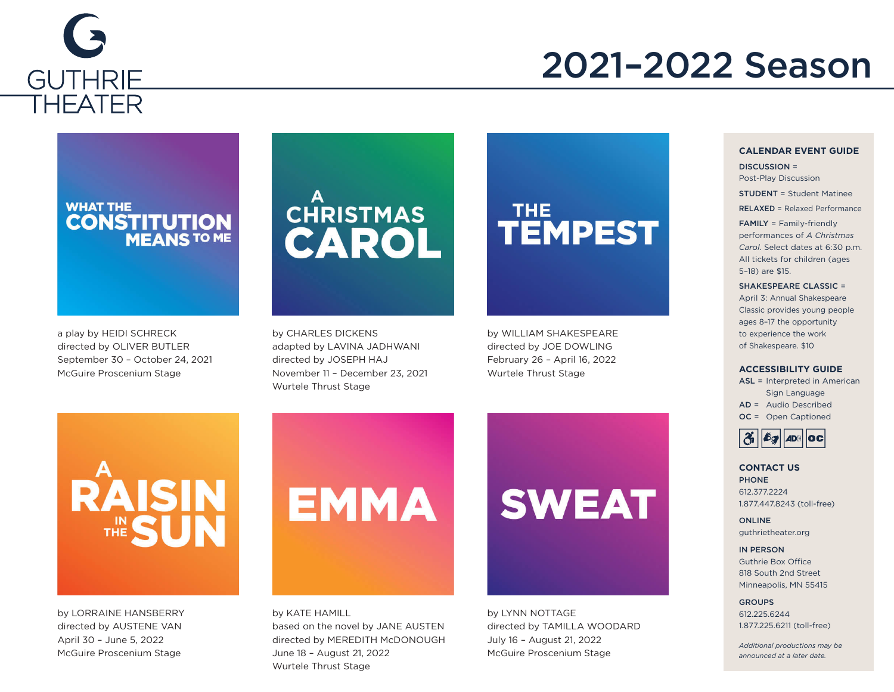

#### 2021–2022 Season

#### **WHAT THE CONSTITUTION**<br>MEANS TO ME

a play by HEIDI SCHRECK directed by OLIVER BUTLER September 30 – October 24, 2021 McGuire Proscenium Stage

### **CHRISTMAS** CAROL

by CHARLES DICKENS adapted by LAVINA JADHWANI directed by JOSEPH HAJ November 11 – December 23, 2021 Wurtele Thrust Stage

# THE<br>TEMPEST

by WILLIAM SHAKESPEARE directed by JOE DOWLING February 26 – April 16, 2022 Wurtele Thrust Stage



by LORRAINE HANSBERRY directed by AUSTENE VAN April 30 – June 5, 2022 McGuire Proscenium Stage

# **EMMA**

by KATE HAMILL based on the novel by JANE AUSTEN directed by MEREDITH McDONOUGH June 18 – August 21, 2022 Wurtele Thrust Stage

## **SWEAT**



#### **CALENDAR EVENT GUIDE**

DISCUSSION = Post-Play Discussion STUDENT = Student Matinee RELAXED = Relaxed Performance FAMILY = Family-friendly performances of *A Christmas* 

*Carol*. Select dates at 6:30 p.m. All tickets for children (ages 5–18) are \$15. SHAKESPEARE CLASSIC =

April 3: Annual Shakespeare Classic provides young people ages 8–17 the opportunity to experience the work of Shakespeare. \$10

#### **ACCESSIBILITY GUIDE**

ASL = Interpreted in American Sign Language AD = Audio Described OC = Open Captioned



#### **CONTACT US** PHONE 612.377.2224 1.877.447.8243 (toll-free)

ONLINE guthrietheater.org

#### IN PERSON

Guthrie Box Office 818 South 2nd Street Minneapolis, MN 55415

**GROUPS** 612.225.6244 1.877.225.6211 (toll-free)

*Additional productions may be announced at a later date.*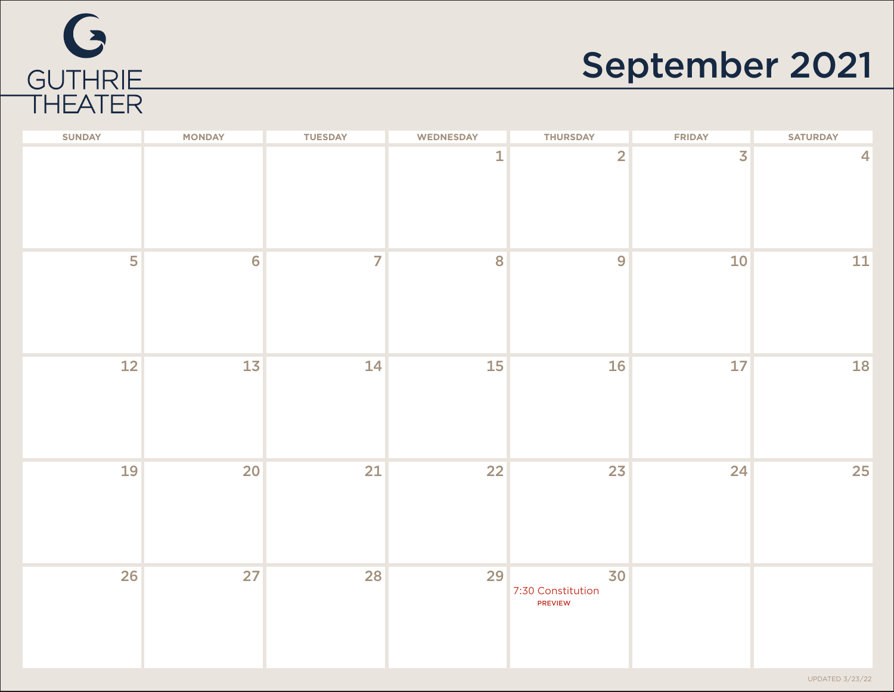

### September 2021

| <b>SUNDAY</b> | <b>MONDAY</b>  | <b>TUESDAY</b> | <b>WEDNESDAY</b> | <b>THURSDAY</b>                           | <b>FRIDAY</b> | <b>SATURDAY</b>        |
|---------------|----------------|----------------|------------------|-------------------------------------------|---------------|------------------------|
|               |                |                | $\mathbf 1$      | $\overline{2}$                            | 3             | $\overline{4}$         |
| 5             | $6\phantom{a}$ | $\overline{7}$ | 8                | 9                                         | 10            | ${\bf 11}$             |
| 12            | 13             | 14             | 15               | <b>16</b>                                 | 17            | 18                     |
| 19            | 20             | 21             | 22               | 23                                        | 24            | 25                     |
| 26            | 27             | 28             | 29               | 30<br>7:30 Constitution<br><b>PREVIEW</b> |               | <b>UPDATED 3/23/22</b> |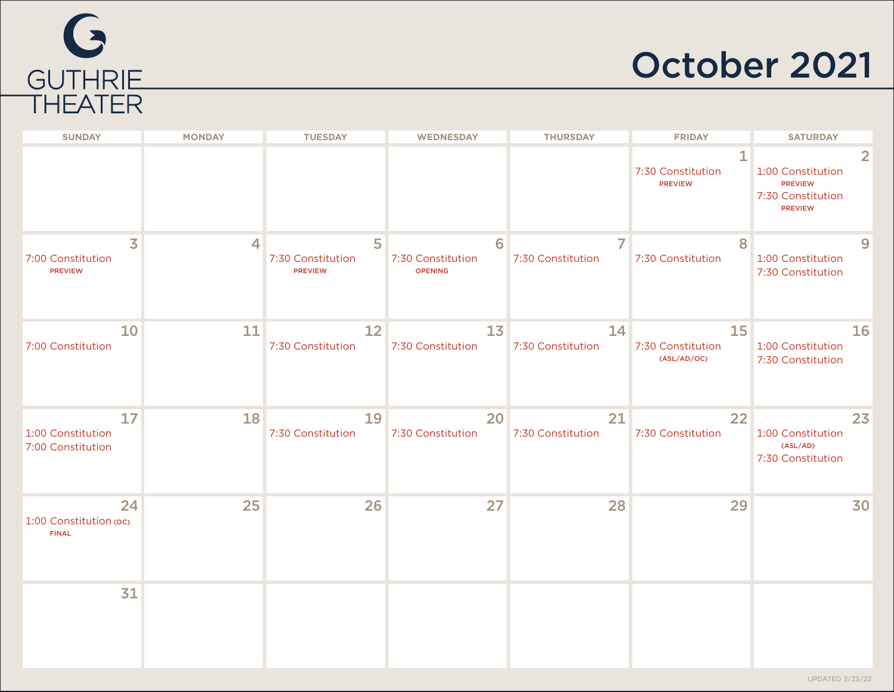

#### October 2021

| <b>SUNDAY</b>                                                  | <b>MONDAY</b> | <b>TUESDAY</b>                           | <b>WEDNESDAY</b>                         | <b>THURSDAY</b>         | <b>FRIDAY</b>                            | <b>SATURDAY</b>                                                            |
|----------------------------------------------------------------|---------------|------------------------------------------|------------------------------------------|-------------------------|------------------------------------------|----------------------------------------------------------------------------|
|                                                                |               |                                          |                                          |                         | 1<br>7:30 Constitution<br><b>PREVIEW</b> | 1:00 Constitution<br><b>PREVIEW</b><br>7:30 Constitution<br><b>PREVIEW</b> |
| $\overline{\mathbf{3}}$<br>7:00 Constitution<br><b>PREVIEW</b> | 4             | 5<br>7:30 Constitution<br><b>PREVIEW</b> | 6<br>7:30 Constitution<br><b>OPENING</b> | 7<br>7:30 Constitution  | 8<br>7:30 Constitution                   | 9<br>1:00 Constitution<br>7:30 Constitution                                |
| 10<br>7:00 Constitution                                        | 11            | 12<br>7:30 Constitution                  | 13<br>7:30 Constitution                  | 14<br>7:30 Constitution | 15<br>7:30 Constitution<br>(ASL/AD/OC)   | 16<br>1:00 Constitution<br>7:30 Constitution                               |
| 17<br>1:00 Constitution<br>7:00 Constitution                   | 18            | 19<br>7:30 Constitution                  | 20<br>7:30 Constitution                  | 21<br>7:30 Constitution | 22<br>7:30 Constitution                  | 23<br>1:00 Constitution<br>(ASL/AD)<br>7:30 Constitution                   |
| 24<br>1:00 Constitution (oc)<br><b>FINAL</b>                   | 25            | 26                                       | 27                                       | 28                      | 29                                       | 30                                                                         |
| 31                                                             |               |                                          |                                          |                         |                                          |                                                                            |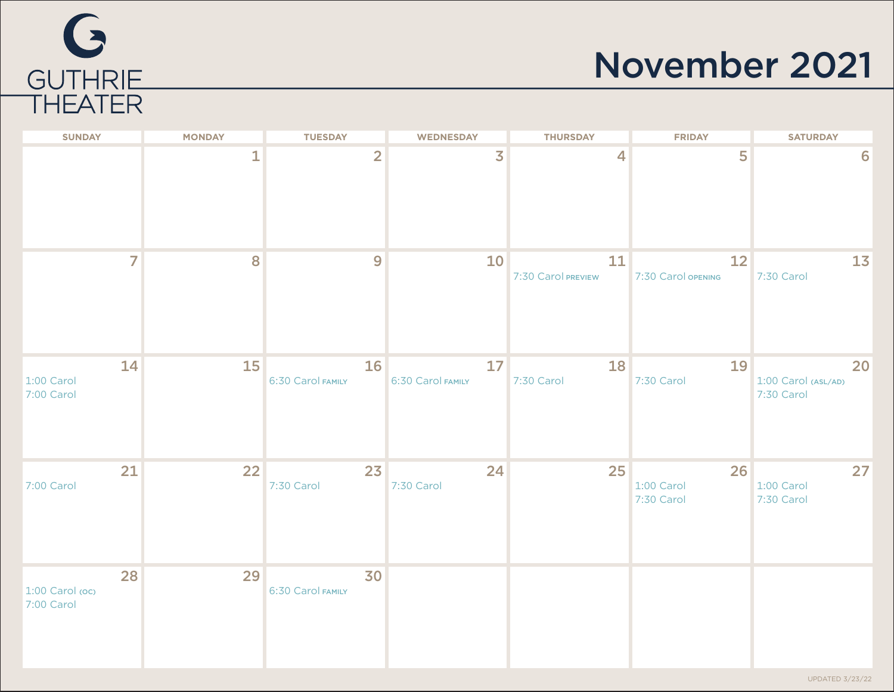# G GUTHRIE<br>THEATER

### November 2021

| <b>SUNDAY</b>                       | <b>MONDAY</b> | <b>TUESDAY</b>          | <b>WEDNESDAY</b>        | <b>THURSDAY</b>          | <b>FRIDAY</b>                  | <b>SATURDAY</b>                         |
|-------------------------------------|---------------|-------------------------|-------------------------|--------------------------|--------------------------------|-----------------------------------------|
|                                     | $\mathbf{1}$  | $\overline{2}$          | $\overline{\mathbf{3}}$ | $\overline{4}$           | 5                              | 6                                       |
| $\overline{7}$                      | 8             | 9                       | 10                      | 11<br>7:30 Carol PREVIEW | 12<br>7:30 Carol OPENING       | 13<br>7:30 Carol                        |
| 14<br>1:00 Carol<br>7:00 Carol      | 15            | 16<br>6:30 Carol FAMILY | 17<br>6:30 Carol FAMILY | 18<br>7:30 Carol         | 19<br>7:30 Carol               | 20<br>1:00 Carol (ASL/AD)<br>7:30 Carol |
| 21<br>7:00 Carol                    | 22            | 23<br>7:30 Carol        | 24<br>7:30 Carol        | 25                       | 26<br>1:00 Carol<br>7:30 Carol | 27<br>1:00 Carol<br>7:30 Carol          |
| 28<br>1:00 Carol (oc)<br>7:00 Carol | 29            | 30<br>6:30 Carol FAMILY |                         |                          |                                |                                         |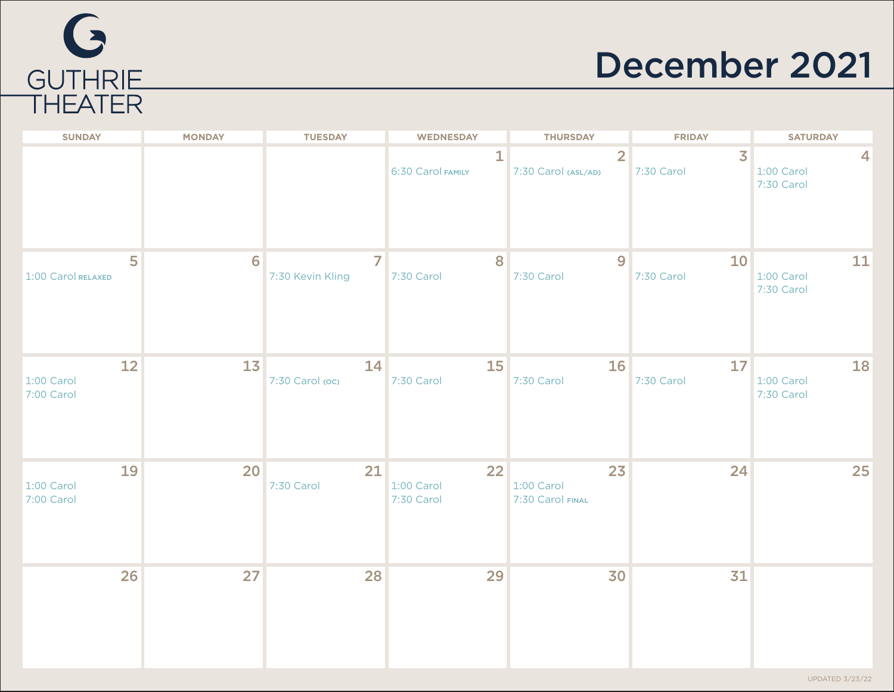

#### December 2021

| <b>SUNDAY</b>                  | <b>MONDAY</b> | <b>TUESDAY</b>        | <b>WEDNESDAY</b>               | <b>THURSDAY</b>                       | <b>FRIDAY</b>                | <b>SATURDAY</b>                       |
|--------------------------------|---------------|-----------------------|--------------------------------|---------------------------------------|------------------------------|---------------------------------------|
|                                |               |                       | 1<br>6:30 Carol FAMILY         | $\overline{2}$<br>7:30 Carol (ASL/AD) | $\overline{3}$<br>7:30 Carol | 4<br>1:00 Carol<br>7:30 Carol         |
| 5<br>1:00 Carol RELAXED        | 6             | 7<br>7:30 Kevin Kling | 8<br>7:30 Carol                | 9<br>7:30 Carol                       | 10<br>7:30 Carol             | 11<br>1:00 Carol<br>7:30 Carol        |
| 12<br>1:00 Carol<br>7:00 Carol | 13            | 14<br>7:30 Carol (oc) | 15<br>7:30 Carol               | 16<br>7:30 Carol                      | 17<br>7:30 Carol             | <b>18</b><br>1:00 Carol<br>7:30 Carol |
| 19<br>1:00 Carol<br>7:00 Carol | 20            | 21<br>7:30 Carol      | 22<br>1:00 Carol<br>7:30 Carol | 23<br>1:00 Carol<br>7:30 Carol FINAL  | 24                           | 25                                    |
| 26                             | 27            | 28                    | 29                             | 30                                    | 31                           |                                       |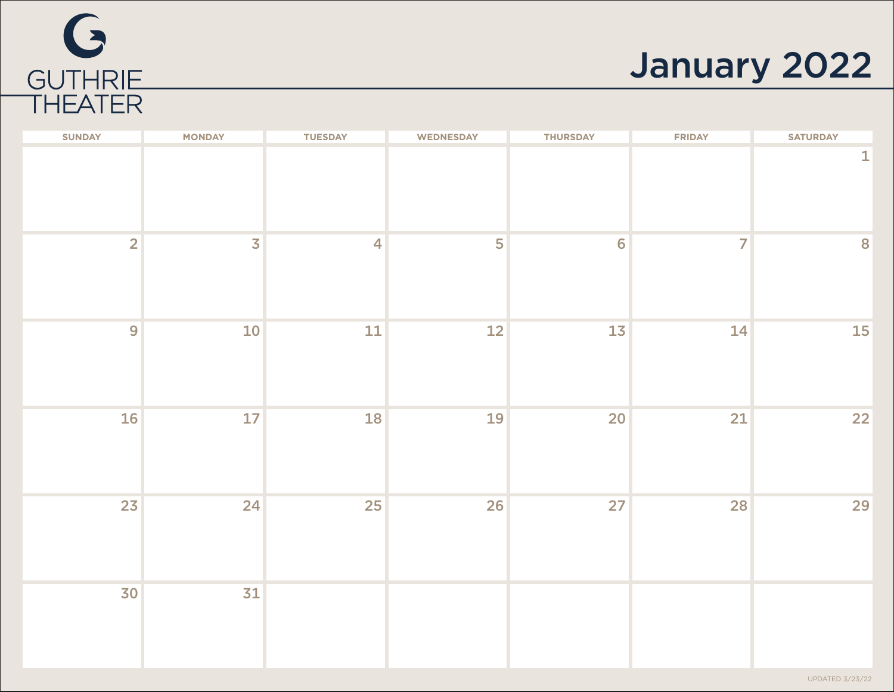

### January 2022

| $\overline{2}$<br>$\overline{3}$<br>5<br>$\overline{7}$<br>$\overline{\mathbf{4}}$<br>$6\phantom{a}$<br>8<br>12<br>9<br>10<br>$11\,$<br>13<br>14<br>16<br>18<br>$17\,$<br>19<br>21<br>20<br>23<br>24<br>25<br>26<br>27<br>28<br>30<br>31 | <b>SUNDAY</b> | <b>MONDAY</b> | <b>TUESDAY</b> | WEDNESDAY | <b>THURSDAY</b> | <b>FRIDAY</b> | <b>SATURDAY</b> |
|------------------------------------------------------------------------------------------------------------------------------------------------------------------------------------------------------------------------------------------|---------------|---------------|----------------|-----------|-----------------|---------------|-----------------|
| 15<br>22<br>29                                                                                                                                                                                                                           |               |               |                |           |                 |               | $\mathbf{1}$    |
|                                                                                                                                                                                                                                          |               |               |                |           |                 |               |                 |
|                                                                                                                                                                                                                                          |               |               |                |           |                 |               |                 |
|                                                                                                                                                                                                                                          |               |               |                |           |                 |               |                 |
|                                                                                                                                                                                                                                          |               |               |                |           |                 |               |                 |
|                                                                                                                                                                                                                                          |               |               |                |           |                 |               |                 |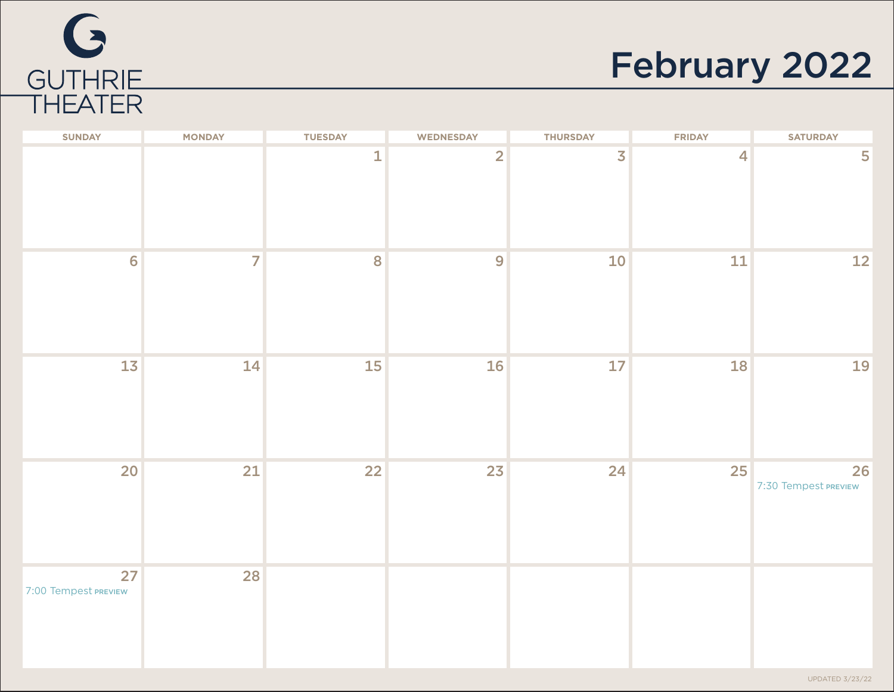

### February 2022

| <b>SUNDAY</b>              | <b>MONDAY</b>  | <b>TUESDAY</b> | WEDNESDAY      | <b>THURSDAY</b>         | <b>FRIDAY</b>  | <b>SATURDAY</b>            |
|----------------------------|----------------|----------------|----------------|-------------------------|----------------|----------------------------|
|                            |                | $\mathbf{1}$   | $\overline{2}$ | $\overline{\mathbf{3}}$ | $\overline{4}$ | 5                          |
| $6\phantom{a}$             | $\overline{7}$ | 8              | 9              | 10                      | 11             | 12                         |
| 13                         | 14             | 15             | 16             | $17$                    | 18             | 19                         |
| 20 <sup>°</sup>            | 21             | 22             | 23             | 24                      | 25             | 26<br>7:30 Tempest PREVIEW |
| 27<br>7:00 Tempest PREVIEW | 28             |                |                |                         |                |                            |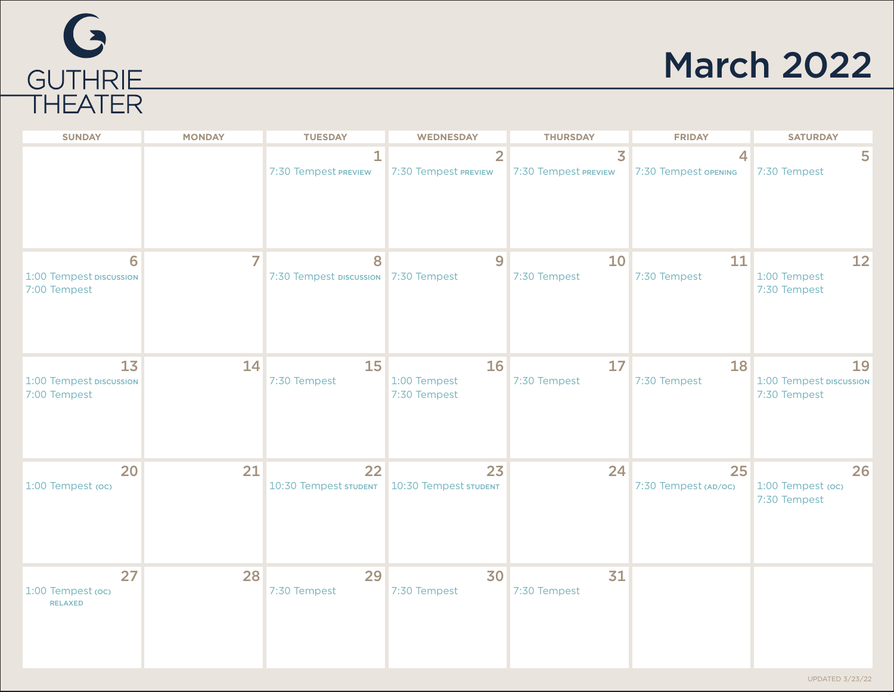# G GUTHRIE<br>THEATER

### March 2022

| <b>SUNDAY</b>                                 | <b>MONDAY</b> | <b>TUESDAY</b>                            | <b>WEDNESDAY</b>                       | <b>THURSDAY</b>                                 | <b>FRIDAY</b>                                    | <b>SATURDAY</b>                               |
|-----------------------------------------------|---------------|-------------------------------------------|----------------------------------------|-------------------------------------------------|--------------------------------------------------|-----------------------------------------------|
|                                               |               | $\mathbf{1}$<br>7:30 Tempest PREVIEW      | $\overline{2}$<br>7:30 Tempest PREVIEW | $\overline{\mathbf{3}}$<br>7:30 Tempest PREVIEW | $\overline{\mathcal{A}}$<br>7:30 Tempest OPENING | 5<br>7:30 Tempest                             |
| 6<br>1:00 Tempest DISCUSSION<br>7:00 Tempest  | 7             | 8<br>7:30 Tempest DISCUSSION 7:30 Tempest | 9                                      | 10<br>7:30 Tempest                              | 11<br>7:30 Tempest                               | 12<br>1:00 Tempest<br>7:30 Tempest            |
| 13<br>1:00 Tempest DISCUSSION<br>7:00 Tempest | 14            | 15<br>7:30 Tempest                        | 16<br>1:00 Tempest<br>7:30 Tempest     | 17<br>7:30 Tempest                              | 18<br>7:30 Tempest                               | 19<br>1:00 Tempest DISCUSSION<br>7:30 Tempest |
| 20<br>1:00 Tempest (oc)                       | 21            | 22<br>10:30 Tempest STUDENT               | 23<br>10:30 Tempest STUDENT            | 24                                              | 25<br>7:30 Tempest (AD/OC)                       | 26<br>1:00 Tempest (oc)<br>7:30 Tempest       |
| 27<br>1:00 Tempest (oc)<br><b>RELAXED</b>     | 28            | 29<br>7:30 Tempest                        | 30<br>7:30 Tempest                     | 31<br>7:30 Tempest                              |                                                  |                                               |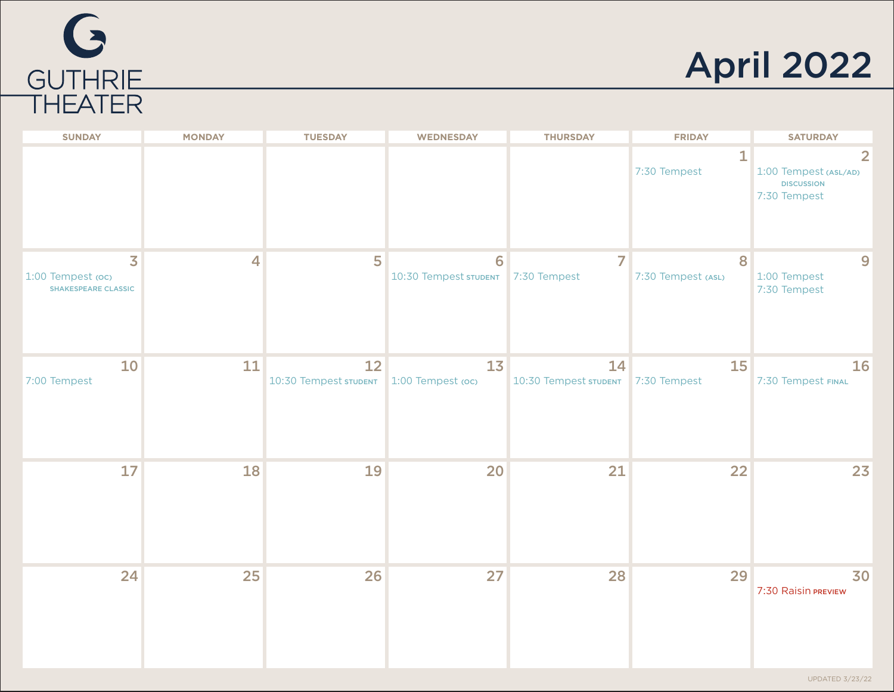

April 2022

| <b>SUNDAY</b>                                                              | <b>MONDAY</b>  | <b>TUESDAY</b>                                | <b>WEDNESDAY</b>           | <b>THURSDAY</b>                          | <b>FRIDAY</b>                | <b>SATURDAY</b>                                                              |
|----------------------------------------------------------------------------|----------------|-----------------------------------------------|----------------------------|------------------------------------------|------------------------------|------------------------------------------------------------------------------|
|                                                                            |                |                                               |                            |                                          | $\mathbf{1}$<br>7:30 Tempest | $\overline{2}$<br>1:00 Tempest (ASL/AD)<br><b>DISCUSSION</b><br>7:30 Tempest |
| $\overline{\mathbf{3}}$<br>1:00 Tempest (oc)<br><b>SHAKESPEARE CLASSIC</b> | $\overline{4}$ | 5                                             | 6<br>10:30 Tempest STUDENT | 7<br>7:30 Tempest                        | 8<br>7:30 Tempest (ASL)      | 9<br>1:00 Tempest<br>7:30 Tempest                                            |
| 10<br>7:00 Tempest                                                         | 11             | 12<br>10:30 Tempest STUDENT 1:00 Tempest (OC) | 13                         | 14<br>10:30 Tempest STUDENT 7:30 Tempest | <b>15</b>                    | 16<br>7:30 Tempest FINAL                                                     |
| 17                                                                         | <b>18</b>      | 19                                            | 20                         | 21                                       | 22                           | 23                                                                           |
| 24                                                                         | 25             | 26                                            | 27                         | 28                                       | 29                           | 30<br>7:30 Raisin PREVIEW                                                    |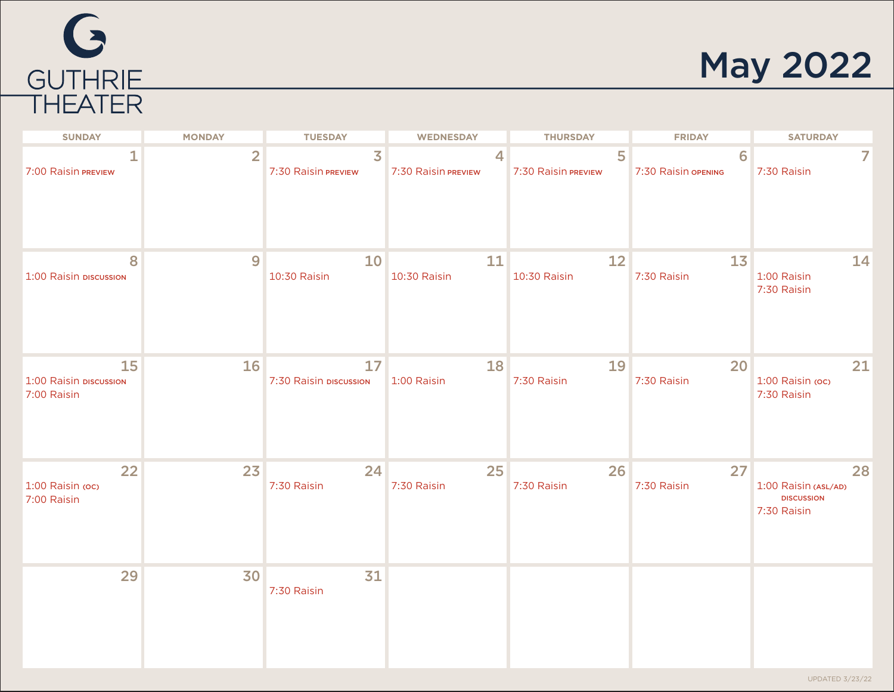# G GUTHRIE

#### May 2022

| <b>SUNDAY</b>                               | <b>MONDAY</b>  | <b>TUESDAY</b>                        | <b>WEDNESDAY</b>         | <b>THURSDAY</b>          | <b>FRIDAY</b>            | <b>SATURDAY</b>                                                |
|---------------------------------------------|----------------|---------------------------------------|--------------------------|--------------------------|--------------------------|----------------------------------------------------------------|
| 7:00 Raisin PREVIEW                         | $\overline{2}$ | $\overline{3}$<br>7:30 Raisin PREVIEW | 4<br>7:30 Raisin PREVIEW | 5<br>7:30 Raisin PREVIEW | 6<br>7:30 Raisin OPENING | 7:30 Raisin                                                    |
| 8<br>1:00 Raisin piscussion                 | 9              | 10<br>10:30 Raisin                    | 11<br>10:30 Raisin       | 12<br>10:30 Raisin       | 13<br>7:30 Raisin        | 14<br>1:00 Raisin<br>7:30 Raisin                               |
| 15<br>1:00 Raisin DISCUSSION<br>7:00 Raisin | 16             | 17<br>7:30 Raisin piscussion          | 18<br>1:00 Raisin        | 19<br>7:30 Raisin        | 20<br>7:30 Raisin        | 21<br>1:00 Raisin (oc)<br>7:30 Raisin                          |
| 22<br>1:00 Raisin (oc)<br>7:00 Raisin       | 23             | 24<br>7:30 Raisin                     | 25<br>7:30 Raisin        | 26<br>7:30 Raisin        | 27<br>7:30 Raisin        | 28<br>1:00 Raisin (ASL/AD)<br><b>DISCUSSION</b><br>7:30 Raisin |
| 29                                          | 30             | 31<br>7:30 Raisin                     |                          |                          |                          |                                                                |

UPDATED 3/23/22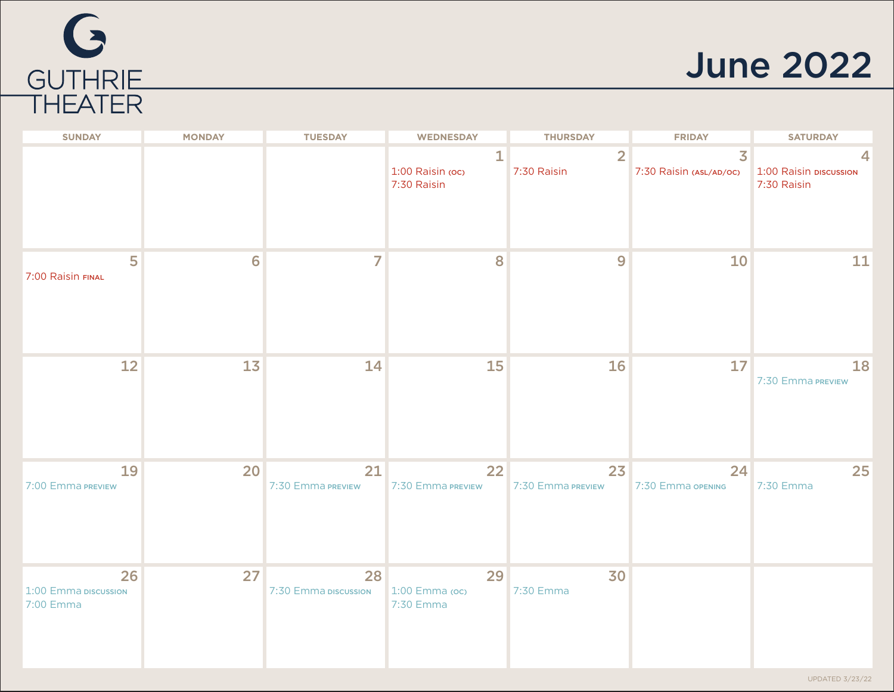

#### June 2022

| <b>SUNDAY</b>                           | <b>MONDAY</b> | <b>TUESDAY</b>             | <b>WEDNESDAY</b>                     | <b>THURSDAY</b>               | <b>FRIDAY</b>                                      | <b>SATURDAY</b>                       |
|-----------------------------------------|---------------|----------------------------|--------------------------------------|-------------------------------|----------------------------------------------------|---------------------------------------|
|                                         |               |                            | 1<br>1:00 Raisin (oc)<br>7:30 Raisin | $\overline{2}$<br>7:30 Raisin | $\overline{\mathbf{3}}$<br>7:30 Raisin (ASL/AD/OC) | 1:00 Raisin piscussion<br>7:30 Raisin |
| 5<br>7:00 Raisin FINAL                  | 6             | 7                          | 8                                    | 9                             | 10                                                 | 11                                    |
| 12                                      | 13            | 14                         | 15                                   | 16                            | 17                                                 | 18<br>7:30 Emma PREVIEW               |
| 19<br>7:00 Emma PREVIEW                 | 20            | 21<br>7:30 Emma PREVIEW    | 22<br>7:30 Emma PREVIEW              | 23<br>7:30 Emma PREVIEW       | 24<br>7:30 Emma OPENING                            | 25<br>7:30 Emma                       |
| 26<br>1:00 Emma piscussion<br>7:00 Emma | 27            | 28<br>7:30 Emma piscussion | 29<br>$1:00$ Emma (oc)<br>7:30 Emma  | 30<br>7:30 Emma               |                                                    |                                       |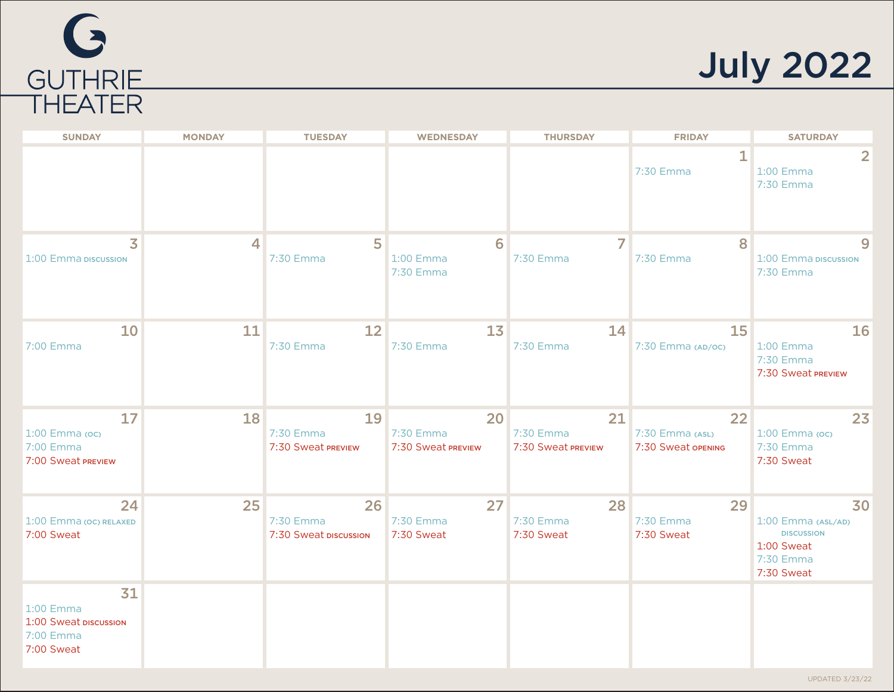

July 2022

| <b>SUNDAY</b>                                                       | <b>MONDAY</b> | <b>TUESDAY</b>                           | <b>WEDNESDAY</b>                      | <b>THURSDAY</b>                       | <b>FRIDAY</b>                               | <b>SATURDAY</b>                                                                        |
|---------------------------------------------------------------------|---------------|------------------------------------------|---------------------------------------|---------------------------------------|---------------------------------------------|----------------------------------------------------------------------------------------|
|                                                                     |               |                                          |                                       |                                       | 1<br>7:30 Emma                              | $\overline{2}$<br>1:00 Emma<br>7:30 Emma                                               |
| $\overline{\mathbf{3}}$<br>1:00 Emma piscussion                     | 4             | 5<br>7:30 Emma                           | 6<br>1:00 Emma<br>7:30 Emma           | 7<br>7:30 Emma                        | 8<br>7:30 Emma                              | $\overline{9}$<br>1:00 Emma DISCUSSION<br>7:30 Emma                                    |
| 10<br>7:00 Emma                                                     | 11            | 12<br>7:30 Emma                          | 1 <sub>3</sub><br>7:30 Emma           | 14<br>7:30 Emma                       | 15<br>7:30 Emma (AD/OC)                     | 16<br>1:00 Emma<br>7:30 Emma<br>7:30 Sweat PREVIEW                                     |
| 17<br>1:00 Emma (oc)<br>7:00 Emma<br>7:00 Sweat PREVIEW             | 18            | 19<br>7:30 Emma<br>7:30 Sweat PREVIEW    | 20<br>7:30 Emma<br>7:30 Sweat PREVIEW | 21<br>7:30 Emma<br>7:30 Sweat PREVIEW | 22<br>7:30 Emma (ASL)<br>7:30 Sweat opENING | 23<br>1:00 Emma (oc)<br>7:30 Emma<br>7:30 Sweat                                        |
| 24<br>1:00 Emma (OC) RELAXED<br>7:00 Sweat                          | 25            | 26<br>7:30 Emma<br>7:30 Sweat DISCUSSION | 27<br>7:30 Emma<br>7:30 Sweat         | 28<br>7:30 Emma<br>7:30 Sweat         | 29<br>7:30 Emma<br>7:30 Sweat               | 30<br>1:00 Emma (ASL/AD)<br><b>DISCUSSION</b><br>1:00 Sweat<br>7:30 Emma<br>7:30 Sweat |
| 31<br>1:00 Emma<br>1:00 Sweat DISCUSSION<br>7:00 Emma<br>7:00 Sweat |               |                                          |                                       |                                       |                                             |                                                                                        |